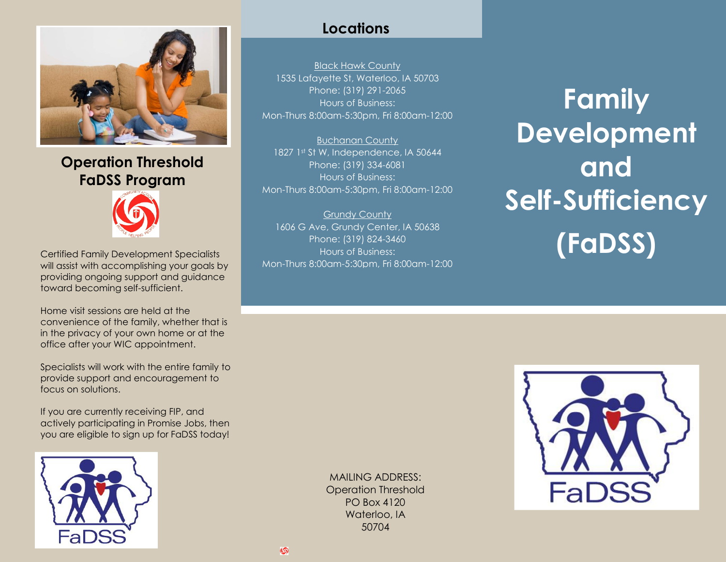

**Operation Threshold FaDSS Program** 



Certified Family Development Specialists will assist with accomplishing your goals by providing ongoing support and guidance toward becoming self-sufficient.

Home visit sessions are held at the convenience of the family, whether that is in the privacy of your own home or at the office after your WIC appointment.

Specialists will work with the entire family to provide support and encouragement to focus on solutions.

If you are currently receiving FIP, and actively participating in Promise Jobs, then you are eligible to sign up for FaDSS today!



## **Locations**

Black Hawk County 1535 Lafayette St, Waterloo, IA 50703 Phone: (319) 291-2065 Hours of Business: Mon-Thurs 8:00am-5:30pm, Fri 8:00am-12:00

Buchanan County 1827 1st St W, Independence, IA 50644 Phone: (319) 334-6081 Hours of Business: Mon-Thurs 8:00am-5:30pm, Fri 8:00am-12:00

Grundy County 1606 G Ave, Grundy Center, IA 50638 Phone: (319) 824-3460 Hours of Business: Mon-Thurs 8:00am-5:30pm, Fri 8:00am-12:00

**Family Development and Self-Sufficiency (FaDSS)**

MAILING ADDRESS: Operation Threshold PO Box 4120 Waterloo, IA 50704

 $\circledcirc$